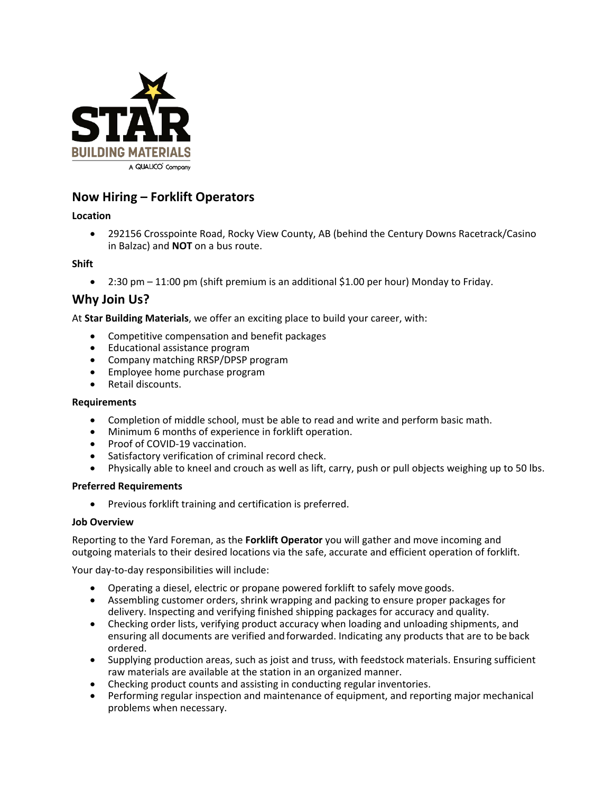

# **Now Hiring – Forklift Operators**

## **Location**

• 292156 Crosspointe Road, Rocky View County, AB (behind the Century Downs Racetrack/Casino in Balzac) and **NOT** on a bus route.

**Shift**

 $\bullet$  2:30 pm  $-11:00$  pm (shift premium is an additional \$1.00 per hour) Monday to Friday.

## **Why Join Us?**

At **Star Building Materials**, we offer an exciting place to build your career, with:

- Competitive compensation and benefit packages
- Educational assistance program
- Company matching RRSP/DPSP program
- Employee home purchase program
- Retail discounts.

## **Requirements**

- Completion of middle school, must be able to read and write and perform basic math.
- Minimum 6 months of experience in forklift operation.
- Proof of COVID-19 vaccination.
- Satisfactory verification of criminal record check.
- Physically able to kneel and crouch as well as lift, carry, push or pull objects weighing up to 50 lbs.

#### **Preferred Requirements**

• Previous forklift training and certification is preferred.

#### **Job Overview**

Reporting to the Yard Foreman, as the **Forklift Operator** you will gather and move incoming and outgoing materials to their desired locations via the safe, accurate and efficient operation of forklift.

Your day-to-day responsibilities will include:

- Operating a diesel, electric or propane powered forklift to safely move goods.
- Assembling customer orders, shrink wrapping and packing to ensure proper packages for delivery. Inspecting and verifying finished shipping packages for accuracy and quality.
- Checking order lists, verifying product accuracy when loading and unloading shipments, and ensuring all documents are verified and forwarded. Indicating any products that are to be back ordered.
- Supplying production areas, such as joist and truss, with feedstock materials. Ensuring sufficient raw materials are available at the station in an organized manner.
- Checking product counts and assisting in conducting regular inventories.
- Performing regular inspection and maintenance of equipment, and reporting major mechanical problems when necessary.